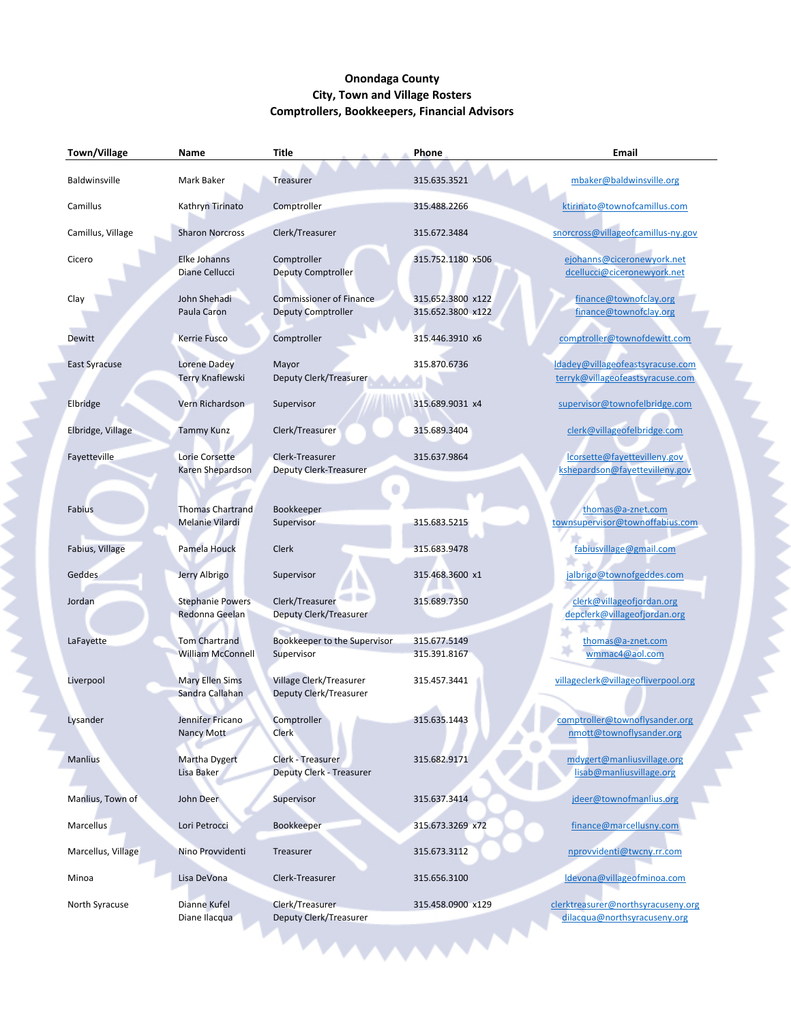## **Onondaga County City, Town and Village Rosters Comptrollers, Bookkeepers, Financial Advisors**

| Town/Village         | Name                                             | <b>Title</b>                                                | <b>Phone</b>                           | Email                                                                |
|----------------------|--------------------------------------------------|-------------------------------------------------------------|----------------------------------------|----------------------------------------------------------------------|
| Baldwinsville        | Mark Baker                                       | Treasurer                                                   | 315.635.3521                           | mbaker@baldwinsville.org                                             |
| Camillus             | Kathryn Tirinato                                 | Comptroller                                                 | 315.488.2266                           | ktirinato@townofcamillus.com                                         |
| Camillus, Village    | <b>Sharon Norcross</b>                           | Clerk/Treasurer                                             | 315.672.3484                           | snorcross@villageofcamillus-ny.gov                                   |
| Cicero               | Elke Johanns<br>Diane Cellucci                   | Comptroller<br><b>Deputy Comptroller</b>                    | 315.752.1180 x506                      | ejohanns@ciceronewyork.net<br>dcellucci@ciceronewyork.net            |
| Clay                 | John Shehadi<br>Paula Caron                      | <b>Commissioner of Finance</b><br><b>Deputy Comptroller</b> | 315.652.3800 x122<br>315.652.3800 x122 | finance@townofclay.org<br>finance@townofclay.org                     |
| Dewitt               | Kerrie Fusco                                     | Comptroller                                                 | 315.446.3910 x6                        | comptroller@townofdewitt.com                                         |
| <b>East Syracuse</b> | Lorene Dadey<br><b>Terry Knaflewski</b>          | Mayor<br>Deputy Clerk/Treasurer                             | 315.870.6736                           | Idadey@villageofeastsyracuse.com<br>terryk@villageofeastsyracuse.com |
| Elbridge             | Vern Richardson                                  | Supervisor                                                  | 315.689.9031 x4                        | supervisor@townofelbridge.com                                        |
| Elbridge, Village    | <b>Tammy Kunz</b>                                | Clerk/Treasurer                                             | 315.689.3404                           | clerk@villageofelbridge.com                                          |
| Fayetteville         | Lorie Corsette<br>Karen Shepardson               | Clerk-Treasurer<br><b>Deputy Clerk-Treasurer</b>            | 315.637.9864                           | lcorsette@fayettevilleny.gov<br>kshepardson@fayettevilleny.gov       |
| Fabius               | <b>Thomas Chartrand</b><br>Melanie Vilardi       | Bookkeeper<br>Supervisor                                    | 315.683.5215                           | thomas@a-znet.com<br>townsupervisor@townoffabius.com                 |
| Fabius, Village      | Pamela Houck                                     | Clerk                                                       | 315.683.9478                           | fabiusvillage@gmail.com                                              |
| Geddes               | Jerry Albrigo                                    | Supervisor                                                  | 315.468.3600 x1                        | jalbrigo@townofgeddes.com                                            |
| Jordan               | <b>Stephanie Powers</b><br>Redonna Geelan        | Clerk/Treasurer<br>Deputy Clerk/Treasurer                   | 315.689.7350                           | clerk@villageofjordan.org<br>depclerk@villageofjordan.org            |
| LaFayette            | <b>Tom Chartrand</b><br><b>William McConnell</b> | Bookkeeper to the Supervisor<br>Supervisor                  | 315.677.5149<br>315.391.8167           | thomas@a-znet.com<br>wmmac4@aol.com                                  |
| Liverpool            | <b>Mary Ellen Sims</b><br>Sandra Callahan        | Village Clerk/Treasurer<br>Deputy Clerk/Treasurer           | 315.457.3441                           | villageclerk@villageofliverpool.org                                  |
| Lysander             | Jennifer Fricano<br>Nancy Mott                   | Comptroller<br><b>Clerk</b>                                 | 315.635.1443                           | comptroller@townoflysander.org<br>nmott@townoflysander.org           |
| <b>Manlius</b>       | <b>Martha Dygert</b><br>Lisa Baker               | Clerk - Treasurer<br><b>Deputy Clerk - Treasurer</b>        | 315.682.9171                           | mdygert@manliusvillage.org<br>lisab@manliusvillage.org               |
| Manlius, Town of     | John Deer                                        | Supervisor                                                  | 315.637.3414                           | jdeer@townofmanlius.org                                              |
| Marcellus            | Lori Petrocci                                    | Bookkeeper                                                  | 315.673.3269 x72                       | finance@marcellusny.com                                              |
| Marcellus, Village   | Nino Provvidenti                                 | Treasurer                                                   | 315.673.3112                           | nprovvidenti@twcny.rr.com                                            |
| Minoa                | Lisa DeVona                                      | Clerk-Treasurer                                             | 315.656.3100                           | Idevona@villageofminoa.com                                           |
| North Syracuse       | Dianne Kufel<br>Diane Ilacqua                    | Clerk/Treasurer<br>Deputy Clerk/Treasurer                   | 315.458.0900 x129                      | clerktreasurer@northsyracuseny.org<br>dilacqua@northsyracuseny.org   |